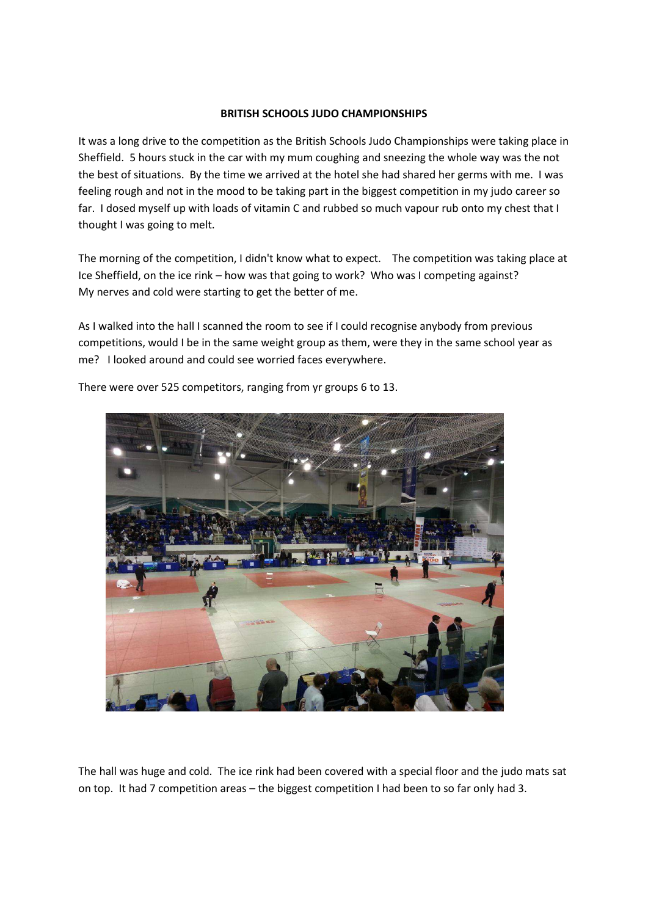## **BRITISH SCHOOLS JUDO CHAMPIONSHIPS**

It was a long drive to the competition as the British Schools Judo Championships were taking place in Sheffield. 5 hours stuck in the car with my mum coughing and sneezing the whole way was the not the best of situations. By the time we arrived at the hotel she had shared her germs with me. I was feeling rough and not in the mood to be taking part in the biggest competition in my judo career so far. I dosed myself up with loads of vitamin C and rubbed so much vapour rub onto my chest that I thought I was going to melt.

The morning of the competition, I didn't know what to expect. The competition was taking place at Ice Sheffield, on the ice rink – how was that going to work? Who was I competing against? My nerves and cold were starting to get the better of me.

As I walked into the hall I scanned the room to see if I could recognise anybody from previous competitions, would I be in the same weight group as them, were they in the same school year as me? I looked around and could see worried faces everywhere.



There were over 525 competitors, ranging from yr groups 6 to 13.

The hall was huge and cold. The ice rink had been covered with a special floor and the judo mats sat on top. It had 7 competition areas – the biggest competition I had been to so far only had 3.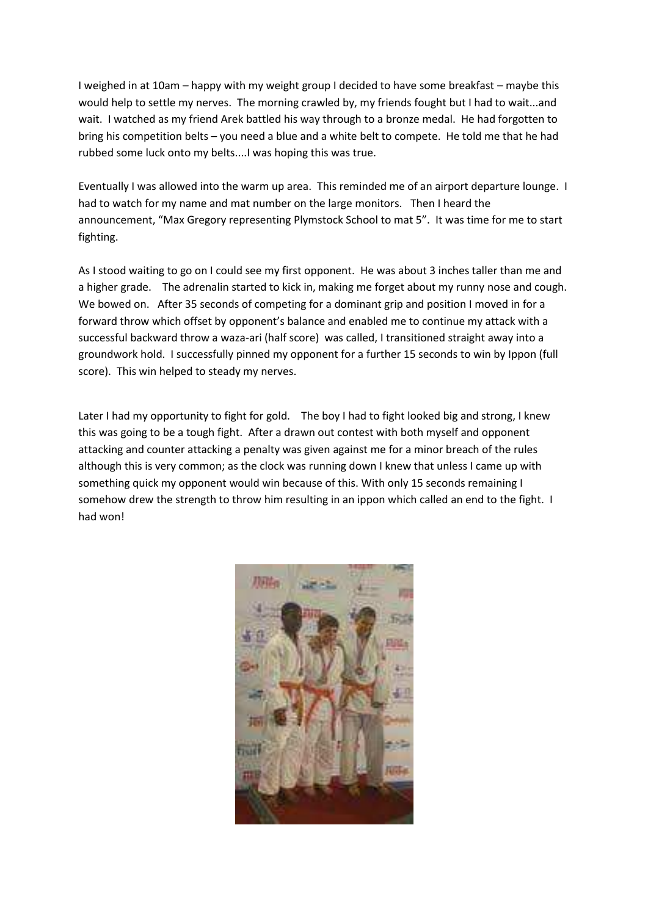I weighed in at 10am – happy with my weight group I decided to have some breakfast – maybe this would help to settle my nerves. The morning crawled by, my friends fought but I had to wait...and wait. I watched as my friend Arek battled his way through to a bronze medal. He had forgotten to bring his competition belts – you need a blue and a white belt to compete. He told me that he had rubbed some luck onto my belts....I was hoping this was true.

Eventually I was allowed into the warm up area. This reminded me of an airport departure lounge. I had to watch for my name and mat number on the large monitors. Then I heard the announcement, "Max Gregory representing Plymstock School to mat 5". It was time for me to start fighting.

As I stood waiting to go on I could see my first opponent. He was about 3 inches taller than me and a higher grade. The adrenalin started to kick in, making me forget about my runny nose and cough. We bowed on. After 35 seconds of competing for a dominant grip and position I moved in for a forward throw which offset by opponent's balance and enabled me to continue my attack with a successful backward throw a waza-ari (half score) was called, I transitioned straight away into a groundwork hold. I successfully pinned my opponent for a further 15 seconds to win by Ippon (full score). This win helped to steady my nerves.

Later I had my opportunity to fight for gold. The boy I had to fight looked big and strong, I knew this was going to be a tough fight. After a drawn out contest with both myself and opponent attacking and counter attacking a penalty was given against me for a minor breach of the rules although this is very common; as the clock was running down I knew that unless I came up with something quick my opponent would win because of this. With only 15 seconds remaining I somehow drew the strength to throw him resulting in an ippon which called an end to the fight. I had won!